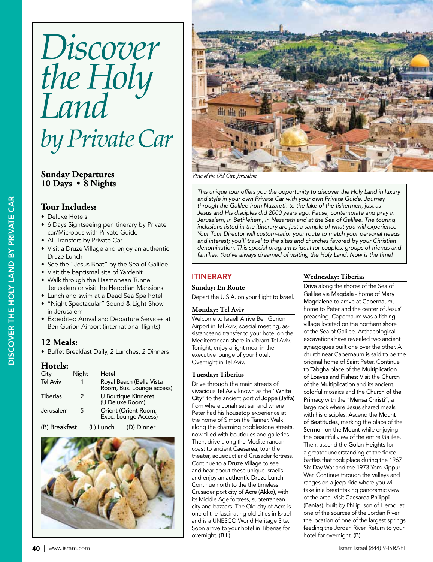# *Discover the Holy Land by Private Car*

# **Sunday Departures 10 Days • 8 Nights**

# **Tour Includes:**

- Deluxe Hotels
- 6 Days Sightseeing per Itinerary by Private car/Microbus with Private Guide
- All Transfers by Private Car
- Visit a Druze Village and enjoy an authentic Druze Lunch
- See the "Jesus Boat" by the Sea of Galilee
- Visit the baptismal site of Yardenit
- Walk through the Hasmonean Tunnel Jerusalem or visit the Herodian Mansions
- Lunch and swim at a Dead Sea Spa hotel
- "Night Spectacular" Sound & Light Show in Jerusalem
- Expedited Arrival and Departure Services at Ben Gurion Airport (international flights)

# **12 Meals:**

• Buffet Breakfast Daily, 2 Lunches, 2 Dinners

## **Hotels:**

| City            | Night | Hotel     |                                                       |  |  |  |  |
|-----------------|-------|-----------|-------------------------------------------------------|--|--|--|--|
| <b>Tel Aviv</b> |       |           | Royal Beach (Bella Vista<br>Room, Bus. Lounge access) |  |  |  |  |
| <b>Tiberias</b> | 2     |           | U Boutique Kinneret<br>(U Deluxe Room)                |  |  |  |  |
| Jerusalem       | 5     |           | Orient (Orient Room,<br>Exec. Lounge Access)          |  |  |  |  |
| (B) Breakfast   |       | (L) Lunch | (D) Dinner                                            |  |  |  |  |





*View of the Old City, Jerusalem*

This unique tour offers you the opportunity to discover the Holy Land in luxury and style in your own Private Car with your own Private Guide. Journey through the Galilee from Nazareth to the lake of the fishermen, just as Jesus and His disciples did 2000 years ago. Pause, contemplate and pray in Jerusalem, in Bethlehem, in Nazareth and at the Sea of Galilee. The touring inclusions listed in the itinerary are just a sample of what you will experience. Your Tour Director will custom-tailor your route to match your personal needs and interest; you'll travel to the sites and churches favored by your Christian denomination. This special program is ideal for couples, groups of friends and families. You've always dreamed of visiting the Holy Land. Now is the time!

# **ITINERARY**

## **Sunday: En Route**

Depart the U.S.A. on your flight to Israel.

## **Monday: Tel Aviv**

Welcome to Israel! Arrive Ben Gurion Airport in Tel Aviv; special meeting, assistanceand transfer to your hotel on the Mediterranean shore in vibrant Tel Aviv. Tonight, enjoy a light meal in the executive lounge of your hotel. Overnight in Tel Aviv.

## **Tuesday: Tiberias**

Drive through the main streets of vivacious Tel Aviv known as the "White City" to the ancient port of Joppa (Jaffa) from where Jonah set sail and where Peter had his housetop experience at the home of Simon the Tanner. Walk along the charming cobblestone streets, now filled with boutiques and galleries. Then, drive along the Mediterranean coast to ancient Caesarea; tour the theater, aqueduct and Crusader fortress. Continue to a Druze Village to see and hear about these unique Israelis and enjoy an authentic Druze Lunch. Continue north to the the timeless Crusader port city of Acre (Akko), with its Middle Age fortress, subterranean city and bazaars. The Old city of Acre is one of the fascinating old cities in Israel and is a UNESCO World Heritage Site. Soon arrive to your hotel in Tiberias for overnight. (B.L)

## **Wednesday: Tiberias**

Drive along the shores of the Sea of Galilee via Magdala - home of Mary Magdalene to arrive at Capernaum, home to Peter and the center of Jesus' preaching. Capernaum was a fishing village located on the northern shore of the Sea of Galilee. Archaeological excavations have revealed two ancient synagogues built one over the other. A church near Capernaum is said to be the original home of Saint Peter. Continue to Tabgha place of the Multiplication of Loaves and Fishes: Visit the Church of the Multiplication and its ancient, colorful mosaics and the Church of the Primacy with the "Mensa Christi", a large rock where Jesus shared meals with his disciples. Ascend the Mount of Beatitudes, marking the place of the Sermon on the Mount while enjoying the beautiful view of the entire Galilee. Then, ascend the Golan Heights for a greater understanding of the fierce battles that took place during the 1967 Six-Day War and the 1973 Yom Kippur War. Continue through the valleys and ranges on a jeep ride where you will take in a breathtaking panoramic view of the area. Visit Caesarea Philippi (Banias), built by Philip, son of Herod, at one of the sources of the Jordan River the location of one of the largest springs feeding the Jordan River. Return to your hotel for overnight. (B)